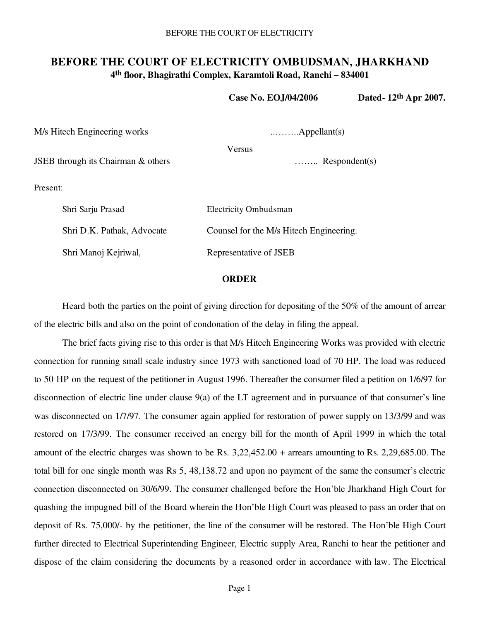## **BEFORE THE COURT OF ELECTRICITY OMBUDSMAN, JHARKHAND 4th floor, Bhagirathi Complex, Karamtoli Road, Ranchi – 834001**

|                                    | <b>Case No. EOJ/04/2006</b>             | Dated-12th Apr 2007. |
|------------------------------------|-----------------------------------------|----------------------|
| M/s Hitech Engineering works       | $\ldots \ldots \ldots$ . Appellant(s)   |                      |
|                                    | Versus                                  |                      |
| JSEB through its Chairman & others | $\ldots$ Respondent(s)                  |                      |
| Present:                           |                                         |                      |
| Shri Sarju Prasad                  | <b>Electricity Ombudsman</b>            |                      |
| Shri D.K. Pathak, Advocate         | Counsel for the M/s Hitech Engineering. |                      |
| Shri Manoj Kejriwal,               | Representative of JSEB                  |                      |
|                                    |                                         |                      |

## **ORDER**

Heard both the parties on the point of giving direction for depositing of the 50% of the amount of arrear of the electric bills and also on the point of condonation of the delay in filing the appeal.

 The brief facts giving rise to this order is that M/s Hitech Engineering Works was provided with electric connection for running small scale industry since 1973 with sanctioned load of 70 HP. The load was reduced to 50 HP on the request of the petitioner in August 1996. Thereafter the consumer filed a petition on 1/6/97 for disconnection of electric line under clause 9(a) of the LT agreement and in pursuance of that consumer's line was disconnected on 1/7/97. The consumer again applied for restoration of power supply on 13/3/99 and was restored on 17/3/99. The consumer received an energy bill for the month of April 1999 in which the total amount of the electric charges was shown to be Rs. 3,22,452.00 + arrears amounting to Rs. 2,29,685.00. The total bill for one single month was Rs 5, 48,138.72 and upon no payment of the same the consumer's electric connection disconnected on 30/6/99. The consumer challenged before the Hon'ble Jharkhand High Court for quashing the impugned bill of the Board wherein the Hon'ble High Court was pleased to pass an order that on deposit of Rs. 75,000/- by the petitioner, the line of the consumer will be restored. The Hon'ble High Court further directed to Electrical Superintending Engineer, Electric supply Area, Ranchi to hear the petitioner and dispose of the claim considering the documents by a reasoned order in accordance with law. The Electrical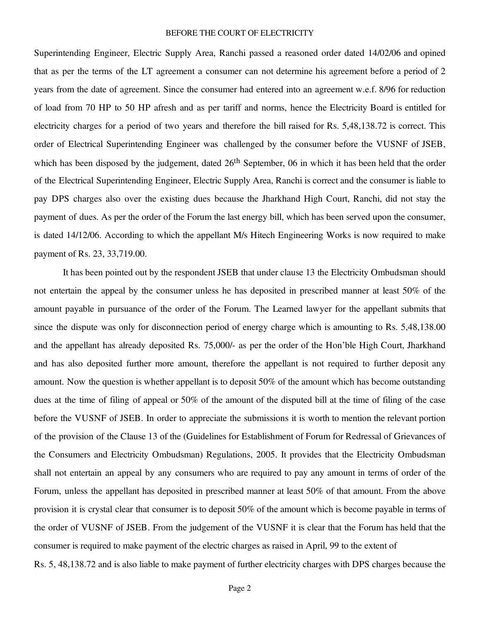## BEFORE THE COURT OF ELECTRICITY

Superintending Engineer, Electric Supply Area, Ranchi passed a reasoned order dated 14/02/06 and opined that as per the terms of the LT agreement a consumer can not determine his agreement before a period of 2 years from the date of agreement. Since the consumer had entered into an agreement w.e.f. 8/96 for reduction of load from 70 HP to 50 HP afresh and as per tariff and norms, hence the Electricity Board is entitled for electricity charges for a period of two years and therefore the bill raised for Rs. 5,48,138.72 is correct. This order of Electrical Superintending Engineer was challenged by the consumer before the VUSNF of JSEB, which has been disposed by the judgement, dated 26<sup>th</sup> September, 06 in which it has been held that the order of the Electrical Superintending Engineer, Electric Supply Area, Ranchi is correct and the consumer is liable to pay DPS charges also over the existing dues because the Jharkhand High Court, Ranchi, did not stay the payment of dues. As per the order of the Forum the last energy bill, which has been served upon the consumer, is dated 14/12/06. According to which the appellant M/s Hitech Engineering Works is now required to make payment of Rs. 23, 33,719.00.

 It has been pointed out by the respondent JSEB that under clause 13 the Electricity Ombudsman should not entertain the appeal by the consumer unless he has deposited in prescribed manner at least 50% of the amount payable in pursuance of the order of the Forum. The Learned lawyer for the appellant submits that since the dispute was only for disconnection period of energy charge which is amounting to Rs. 5,48,138.00 and the appellant has already deposited Rs. 75,000/- as per the order of the Hon'ble High Court, Jharkhand and has also deposited further more amount, therefore the appellant is not required to further deposit any amount. Now the question is whether appellant is to deposit 50% of the amount which has become outstanding dues at the time of filing of appeal or 50% of the amount of the disputed bill at the time of filing of the case before the VUSNF of JSEB. In order to appreciate the submissions it is worth to mention the relevant portion of the provision of the Clause 13 of the (Guidelines for Establishment of Forum for Redressal of Grievances of the Consumers and Electricity Ombudsman) Regulations, 2005. It provides that the Electricity Ombudsman shall not entertain an appeal by any consumers who are required to pay any amount in terms of order of the Forum, unless the appellant has deposited in prescribed manner at least 50% of that amount. From the above provision it is crystal clear that consumer is to deposit 50% of the amount which is become payable in terms of the order of VUSNF of JSEB. From the judgement of the VUSNF it is clear that the Forum has held that the consumer is required to make payment of the electric charges as raised in April, 99 to the extent of Rs. 5, 48,138.72 and is also liable to make payment of further electricity charges with DPS charges because the